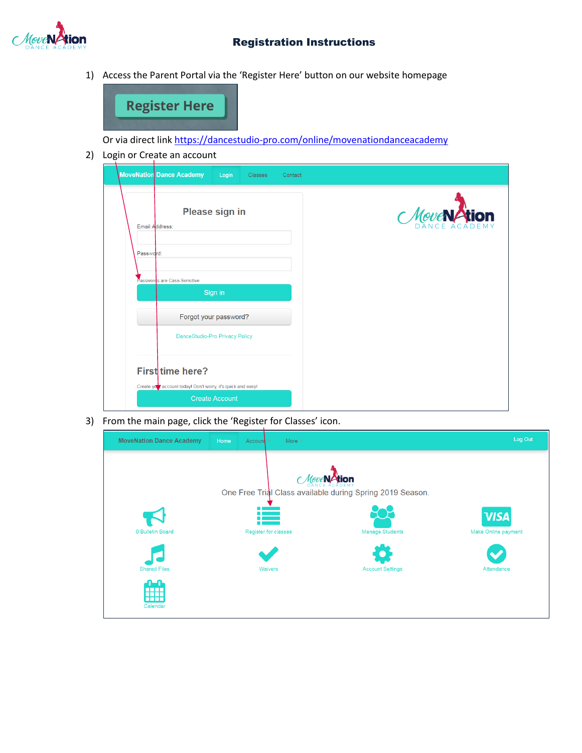

## Registration Instructions

1) Access the Parent Portal via the 'Register Here' button on our website homepage



Or via direct link <https://dancestudio-pro.com/online/movenationdanceacademy>

2) Login or Create an account

|           | <b>MoveNation Dance Academy</b><br>Login<br><b>Classes</b><br>Contact            |                    |
|-----------|----------------------------------------------------------------------------------|--------------------|
|           | Please sign in<br>Email Address:                                                 | Move <b>NAtion</b> |
| Password: |                                                                                  |                    |
|           | Passwords are Case-Sensitive                                                     |                    |
|           | Sign in                                                                          |                    |
|           | Forgot your password?                                                            |                    |
|           | DanceStudio-Pro Privacy Policy                                                   |                    |
|           | First time here?<br>Create your account today! Don't worry, it's quick and easy! |                    |
|           | <b>Create Account</b>                                                            |                    |

3) From the main page, click the 'Register for Classes' icon.

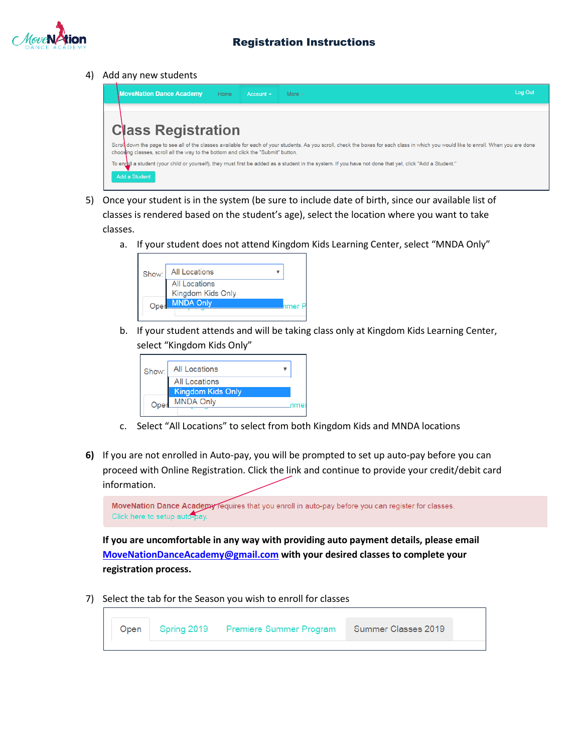

4) Add any new students



- 5) Once your student is in the system (be sure to include date of birth, since our available list of classes is rendered based on the student's age), select the location where you want to take classes.
	- a. If your student does not attend Kingdom Kids Learning Center, select "MNDA Only"

| Show: | <b>All Locations</b>                      |  |
|-------|-------------------------------------------|--|
|       | <b>All Locations</b><br>Kingdom Kids Only |  |
| Oper  | <b>MNDA Only</b>                          |  |

b. If your student attends and will be taking class only at Kingdom Kids Learning Center, select "Kingdom Kids Only"

| Show: | <b>All Locations</b> |  |
|-------|----------------------|--|
|       | All Locations        |  |
|       | Kingdom Kids Only    |  |
| Oper  | <b>MNDA Only</b>     |  |

- c. Select "All Locations" to select from both Kingdom Kids and MNDA locations
- **6)** If you are not enrolled in Auto-pay, you will be prompted to set up auto-pay before you can proceed with Online Registration. Click the link and continue to provide your credit/debit card information.

| MoveNation Dance Academy requires that you enroll in auto-pay before you can register for classes. |  |  |  |  |
|----------------------------------------------------------------------------------------------------|--|--|--|--|
| Click here to setup auto-pay.                                                                      |  |  |  |  |

**If you are uncomfortable in any way with providing auto payment details, please email [MoveNationDanceAcademy@gmail.com](mailto:MoveNationDanceAcademy@gmail.com) with your desired classes to complete your registration process.**

7) Select the tab for the Season you wish to enroll for classes